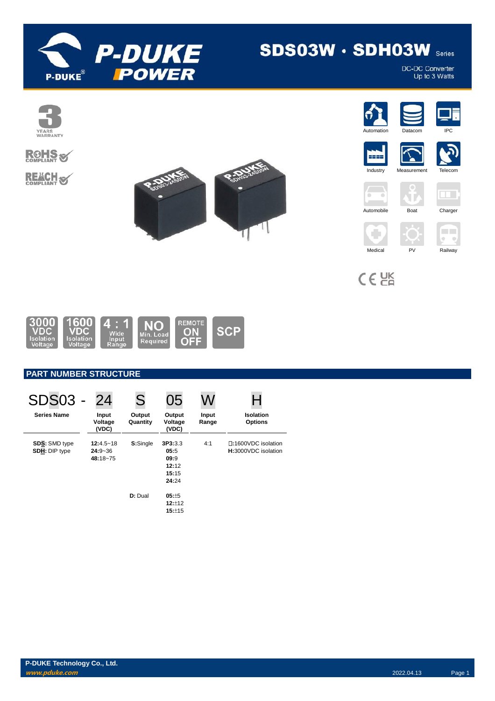

# **SDS03W · SDH03W Series**

DC-DC Converter<br>Up to 3 Watts



# **ROHS REACH S**

















T



 $C \in \overline{GR}$ 



## **PART NUMBER STRUCTURE**

| <b>SDS03 -</b>                               | 24                                       | S                   | 05                                                             | W              |                                            |
|----------------------------------------------|------------------------------------------|---------------------|----------------------------------------------------------------|----------------|--------------------------------------------|
| <b>Series Name</b>                           | Input<br>Voltage<br>(VDC)                | Output<br>Quantity  | Output<br>Voltage<br>(VDC)                                     | Input<br>Range | <b>Isolation</b><br><b>Options</b>         |
| <b>SDS: SMD type</b><br><b>SDH: DIP type</b> | $12:4.5 - 18$<br>$24:9 - 36$<br>48:18~75 | S:Single<br>D: Dual | 3P3:3.3<br>05:5<br>09:9<br>12:12<br>15:15<br>24:24<br>$05: +5$ | 4:1            | □:1600VDC isolation<br>H:3000VDC isolation |
|                                              |                                          |                     | 12:12<br>15:±15                                                |                |                                            |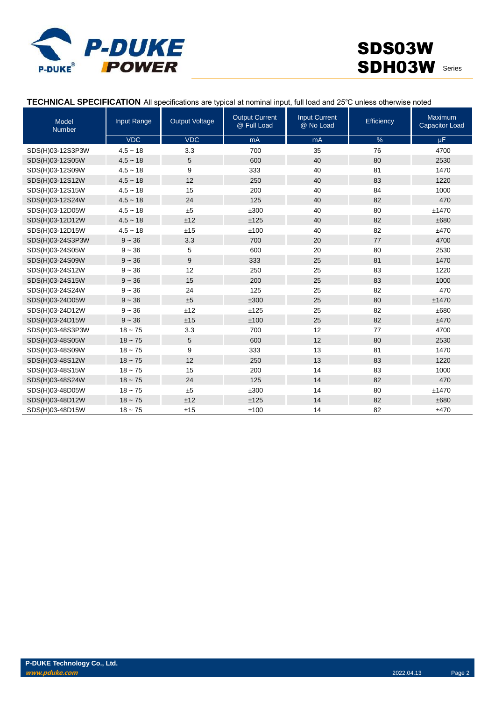

# SDS03W SDH03W Series

| Model<br><b>Number</b> | Input Range | <b>Output Voltage</b> | <b>Output Current</b><br>@ Full Load | <b>Input Current</b><br>@ No Load | Efficiency | Maximum<br><b>Capacitor Load</b> |
|------------------------|-------------|-----------------------|--------------------------------------|-----------------------------------|------------|----------------------------------|
|                        | <b>VDC</b>  | <b>VDC</b>            | mA                                   | mA                                | $\%$       | <b>uF</b>                        |
| SDS(H)03-12S3P3W       | $4.5 - 18$  | 3.3                   | 700                                  | 35                                | 76         | 4700                             |
| SDS(H)03-12S05W        | $4.5 - 18$  | 5                     | 600                                  | 40                                | 80         | 2530                             |
| SDS(H)03-12S09W        | $4.5 - 18$  | 9                     | 333                                  | 40                                | 81         | 1470                             |
| SDS(H)03-12S12W        | $4.5 - 18$  | 12                    | 250                                  | 40                                | 83         | 1220                             |
| SDS(H)03-12S15W        | $4.5 - 18$  | 15                    | 200                                  | 40                                | 84         | 1000                             |
| SDS(H)03-12S24W        | $4.5 - 18$  | 24                    | 125                                  | 40                                | 82         | 470                              |
| SDS(H)03-12D05W        | $4.5 - 18$  | ±5                    | ±300                                 | 40                                | 80         | ±1470                            |
| SDS(H)03-12D12W        | $4.5 - 18$  | ±12                   | ±125                                 | 40                                | 82         | ±680                             |
| SDS(H)03-12D15W        | $4.5 - 18$  | ±15                   | ±100                                 | 40                                | 82         | ±470                             |
| SDS(H)03-24S3P3W       | $9 - 36$    | 3.3                   | 700                                  | 20                                | 77         | 4700                             |
| SDS(H)03-24S05W        | $9 - 36$    | 5                     | 600                                  | 20                                | 80         | 2530                             |
| SDS(H)03-24S09W        | $9 - 36$    | 9                     | 333                                  | 25                                | 81         | 1470                             |
| SDS(H)03-24S12W        | $9 - 36$    | 12                    | 250                                  | 25                                | 83         | 1220                             |
| SDS(H)03-24S15W        | $9 - 36$    | 15                    | 200                                  | 25                                | 83         | 1000                             |
| SDS(H)03-24S24W        | $9 - 36$    | 24                    | 125                                  | 25                                | 82         | 470                              |
| SDS(H)03-24D05W        | $9 - 36$    | ±5                    | ±300                                 | 25                                | 80         | ±1470                            |
| SDS(H)03-24D12W        | $9 - 36$    | ±12                   | ±125                                 | 25                                | 82         | ±680                             |
| SDS(H)03-24D15W        | $9 - 36$    | ±15                   | ±100                                 | 25                                | 82         | ±470                             |
| SDS(H)03-48S3P3W       | $18 - 75$   | 3.3                   | 700                                  | 12                                | 77         | 4700                             |
| SDS(H)03-48S05W        | $18 - 75$   | 5                     | 600                                  | 12                                | 80         | 2530                             |
| SDS(H)03-48S09W        | $18 - 75$   | 9                     | 333                                  | 13                                | 81         | 1470                             |
| SDS(H)03-48S12W        | $18 - 75$   | 12                    | 250                                  | 13                                | 83         | 1220                             |
| SDS(H)03-48S15W        | $18 - 75$   | 15                    | 200                                  | 14                                | 83         | 1000                             |
| SDS(H)03-48S24W        | $18 - 75$   | 24                    | 125                                  | 14                                | 82         | 470                              |
| SDS(H)03-48D05W        | $18 - 75$   | ±5                    | ±300                                 | 14                                | 80         | ±1470                            |
| SDS(H)03-48D12W        | $18 - 75$   | ±12                   | ±125                                 | 14                                | 82         | ±680                             |
| SDS(H)03-48D15W        | $18 - 75$   | ±15                   | ±100                                 | 14                                | 82         | ±470                             |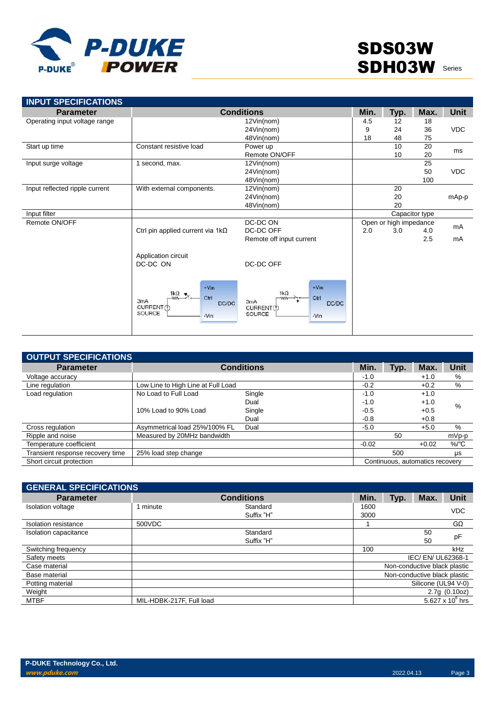

| <b>Parameter</b>               |                                                                                        | <b>Conditions</b>                                                                            | Min. | Typ.                   | Max.           | <b>Unit</b> |
|--------------------------------|----------------------------------------------------------------------------------------|----------------------------------------------------------------------------------------------|------|------------------------|----------------|-------------|
| Operating input voltage range  | 12Vin(nom)                                                                             |                                                                                              | 4.5  | 12                     | 18             |             |
|                                |                                                                                        | 24Vin(nom)                                                                                   | 9    | 24                     | 36             | <b>VDC</b>  |
|                                |                                                                                        | 48Vin(nom)                                                                                   | 18   | 48                     | 75             |             |
| Start up time                  | Constant resistive load                                                                | Power up                                                                                     |      | 10                     | 20             |             |
|                                |                                                                                        | Remote ON/OFF                                                                                |      | 10                     | 20             | ms          |
| Input surge voltage            | 1 second, max.                                                                         | 12Vin(nom)                                                                                   |      |                        | 25             |             |
|                                |                                                                                        | 24Vin(nom)                                                                                   |      |                        | 50             | <b>VDC</b>  |
|                                |                                                                                        | 48Vin(nom)                                                                                   |      |                        | 100            |             |
| Input reflected ripple current | With external components.                                                              | 12Vin(nom)                                                                                   |      | 20                     |                |             |
|                                |                                                                                        | 24Vin(nom)                                                                                   |      | 20                     |                | mAp-p       |
|                                |                                                                                        | 48Vin(nom)                                                                                   |      | 20                     |                |             |
| Input filter                   |                                                                                        |                                                                                              |      |                        | Capacitor type |             |
| Remote ON/OFF                  |                                                                                        | DC-DC ON                                                                                     |      | Open or high impedance |                |             |
|                                | Ctrl pin applied current via $1k\Omega$                                                | DC-DC OFF                                                                                    | 2.0  | 3.0                    | 4.0            | mA          |
|                                |                                                                                        | Remote off input current                                                                     |      |                        | 2.5            | mA          |
|                                | Application circuit<br>DC-DC ON                                                        | DC-DC OFF                                                                                    |      |                        |                |             |
|                                | $+V$ in<br>$1k\Omega$<br>Ctrl<br>-WW<br>3mA<br>DC/DC<br>CURRENT(f)<br>SOURCE<br>$-Vin$ | $+V$ in<br>$1k\Omega$<br>Ctrl<br><b>WW</b><br>3mA<br>DC/DC<br>CURRENT(1)<br>SOURCE<br>$-Vin$ |      |                        |                |             |

| <b>OUTPUT SPECIFICATIONS</b>     |                                    |                   |         |                                 |         |             |
|----------------------------------|------------------------------------|-------------------|---------|---------------------------------|---------|-------------|
| <b>Parameter</b>                 |                                    | <b>Conditions</b> | Min.    | Typ.                            | Max.    | <b>Unit</b> |
| Voltage accuracy                 |                                    |                   | $-1.0$  |                                 | $+1.0$  | %           |
| Line regulation                  | Low Line to High Line at Full Load |                   | $-0.2$  |                                 | $+0.2$  | %           |
| Load regulation                  | No Load to Full Load               | Single            | $-1.0$  |                                 | $+1.0$  |             |
|                                  |                                    | Dual              | $-1.0$  |                                 | $+1.0$  | $\%$        |
|                                  | 10% Load to 90% Load               | Single            | $-0.5$  |                                 | $+0.5$  |             |
|                                  |                                    | Dual              | $-0.8$  |                                 | $+0.8$  |             |
| Cross regulation                 | Asymmetrical load 25%/100% FL      | Dual              | $-5.0$  |                                 | $+5.0$  | %           |
| Ripple and noise                 | Measured by 20MHz bandwidth        |                   |         | 50                              |         | mVp-p       |
| Temperature coefficient          |                                    |                   | $-0.02$ |                                 | $+0.02$ | $\%$ /°C    |
| Transient response recovery time | 25% load step change               |                   |         | 500                             |         | μs          |
| Short circuit protection         |                                    |                   |         | Continuous, automatics recovery |         |             |

| <b>GENERAL SPECIFICATIONS</b> |                          |                   |      |      |                              |                    |  |
|-------------------------------|--------------------------|-------------------|------|------|------------------------------|--------------------|--|
| <b>Parameter</b>              |                          | <b>Conditions</b> | Min. | Typ. | Max.                         | Unit               |  |
| <b>Isolation voltage</b>      | 1 minute                 | Standard          | 1600 |      |                              | <b>VDC</b>         |  |
|                               |                          | Suffix "H"        | 3000 |      |                              |                    |  |
| Isolation resistance          | 500VDC                   |                   |      |      |                              | $G\Omega$          |  |
| Isolation capacitance         |                          | Standard          |      |      | 50                           |                    |  |
|                               |                          | Suffix "H"        |      |      | 50                           | pF                 |  |
| Switching frequency           |                          |                   | 100  |      |                              | kHz                |  |
| Safety meets                  |                          |                   |      |      | IEC/ EN/ UL62368-1           |                    |  |
| Case material                 |                          |                   |      |      | Non-conductive black plastic |                    |  |
| Base material                 |                          |                   |      |      | Non-conductive black plastic |                    |  |
| Potting material              |                          |                   |      |      | Silicone (UL94 V-0)          |                    |  |
| Weight                        |                          |                   |      |      |                              | 2.7g(0.10oz)       |  |
| <b>MTBF</b>                   | MIL-HDBK-217F, Full load |                   |      |      |                              | 5.627 x $10^6$ hrs |  |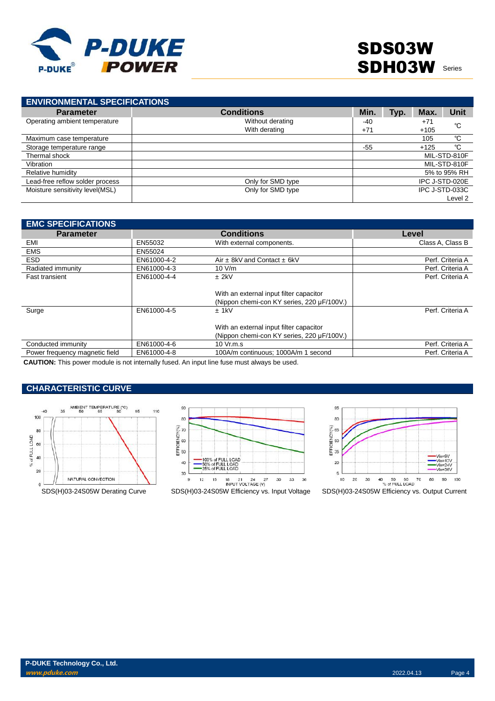

| <b>ENVIRONMENTAL SPECIFICATIONS</b> |                   |       |      |        |                |
|-------------------------------------|-------------------|-------|------|--------|----------------|
| <b>Parameter</b>                    | <b>Conditions</b> | Min.  | Typ. | Max.   | Unit           |
| Operating ambient temperature       | Without derating  | -40   |      | $+71$  | °C             |
|                                     | With derating     | $+71$ |      | $+105$ |                |
| Maximum case temperature            |                   |       |      | 105    | °C             |
| Storage temperature range           |                   | $-55$ |      | $+125$ | °C             |
| Thermal shock                       |                   |       |      |        | MIL-STD-810F   |
| Vibration                           |                   |       |      |        | MIL-STD-810F   |
| Relative humidity                   |                   |       |      |        | 5% to 95% RH   |
| Lead-free reflow solder process     | Only for SMD type |       |      |        | IPC J-STD-020E |
| Moisture sensitivity level(MSL)     | Only for SMD type |       |      |        | IPC J-STD-033C |
|                                     |                   |       |      |        | Level 2        |

| <b>EMC SPECIFICATIONS</b>      |             |                                            |                  |
|--------------------------------|-------------|--------------------------------------------|------------------|
| <b>Parameter</b>               |             | <b>Conditions</b>                          | Level            |
| EMI                            | EN55032     | With external components.                  | Class A, Class B |
| <b>EMS</b>                     | EN55024     |                                            |                  |
| <b>ESD</b>                     | EN61000-4-2 | Air $\pm$ 8kV and Contact $\pm$ 6kV        | Perf. Criteria A |
| Radiated immunity              | EN61000-4-3 | 10 V/m                                     | Perf. Criteria A |
| <b>Fast transient</b>          | EN61000-4-4 | $±$ 2kV                                    | Perf. Criteria A |
|                                |             |                                            |                  |
|                                |             | With an external input filter capacitor    |                  |
|                                |             | (Nippon chemi-con KY series, 220 µF/100V.) |                  |
| Surge                          | EN61000-4-5 | $±$ 1kV                                    | Perf. Criteria A |
|                                |             |                                            |                  |
|                                |             | With an external input filter capacitor    |                  |
|                                |             | (Nippon chemi-con KY series, 220 µF/100V.) |                  |
| Conducted immunity             | EN61000-4-6 | 10 Vr.m.s                                  | Perf. Criteria A |
| Power frequency magnetic field | EN61000-4-8 | 100A/m continuous: 1000A/m 1 second        | Perf. Criteria A |

**CAUTION:** This power module is not internally fused. An input line fuse must always be used.

### **CHARACTERISTIC CURVE**







95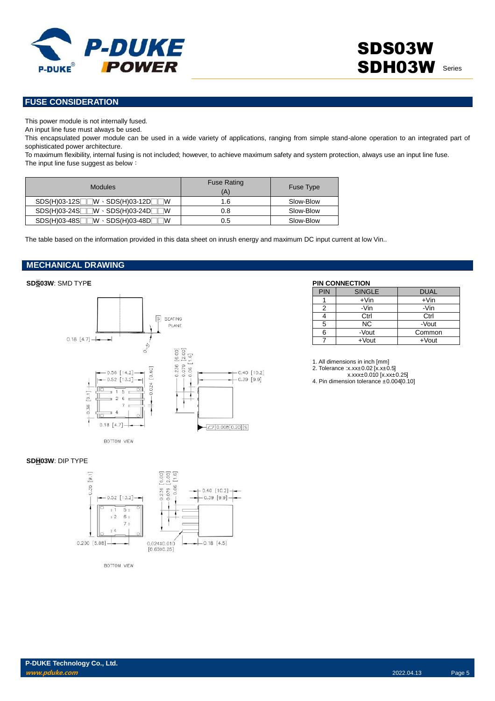

### **FUSE CONSIDERATION**

This power module is not internally fused.

An input line fuse must always be used.

This encapsulated power module can be used in a wide variety of applications, ranging from simple stand-alone operation to an integrated part of sophisticated power architecture.

To maximum flexibility, internal fusing is not included; however, to achieve maximum safety and system protection, always use an input line fuse. The input line fuse suggest as below:

| <b>Modules</b>                                   | <b>Fuse Rating</b><br>'A) | <b>Fuse Type</b> |
|--------------------------------------------------|---------------------------|------------------|
| $SDS(H)03-12S$ W $\cdot$ SDS(H)03-12D W          | 1.6                       | Slow-Blow        |
| $SDS(H)03-24S$ W $\cdot$ SDS(H)03-24D W          | 0.8                       | Slow-Blow        |
| $SDS(H)03-48S$<br>⊺W ⋅ SDS(H)03-48DГ<br><b>W</b> | 0.5                       | Slow-Blow        |

The table based on the information provided in this data sheet on inrush energy and maximum DC input current at low Vin..

### **MECHANICAL DRAWING**



| <b>PIN</b> | <b>SINGLE</b> | <b>DUAL</b> |
|------------|---------------|-------------|
|            | $+V$ in       | $+V$ in     |
| 2          | -Vin          | -Vin        |
|            | Ctrl          | Ctrl        |
| 5          | NC.           | -Vout       |
| 6          | -Vout         | Common      |
|            | $+$ Vout      | $+$ Vout    |

1. All dimensions in inch [mm] 2. Tolerance :x.xx±0.02 [x.x±0.5] x.xxx±0.010 [x.xx±0.25]

4. Pin dimension tolerance ±0.004[0.10]

#### **SDH03W**: DIP TYPE



BOTTOM VIEW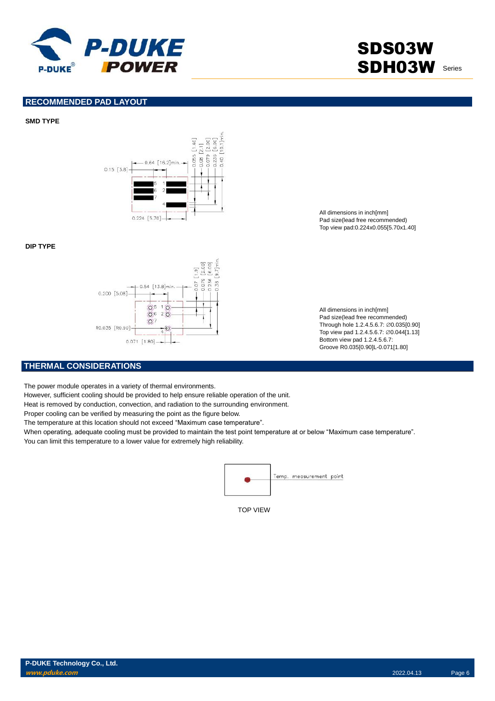

# SDS03W SDH03W Series

#### **RECOMMENDED PAD LAYOUT**

#### **SMD TYPE**



#### **DIP TYPE**



All dimensions in inch[mm] Pad size(lead free recommended) Top view pad:0.224x0.055[5.70x1.40]

All dimensions in inch[mm] Pad size(lead free recommended) Through hole 1.2.4.5.6.7: ∅0.035[0.90] Top view pad 1.2.4.5.6.7: ∅0.044[1.13] Bottom view pad 1.2.4.5.6.7: Groove R0.035[0.90]L-0.071[1.80]

### **THERMAL CONSIDERATIONS**

The power module operates in a variety of thermal environments.

However, sufficient cooling should be provided to help ensure reliable operation of the unit.

Heat is removed by conduction, convection, and radiation to the surrounding environment.

Proper cooling can be verified by measuring the point as the figure below.

The temperature at this location should not exceed "Maximum case temperature".

When operating, adequate cooling must be provided to maintain the test point temperature at or below "Maximum case temperature".

You can limit this temperature to a lower value for extremely high reliability.



TOP VIEW